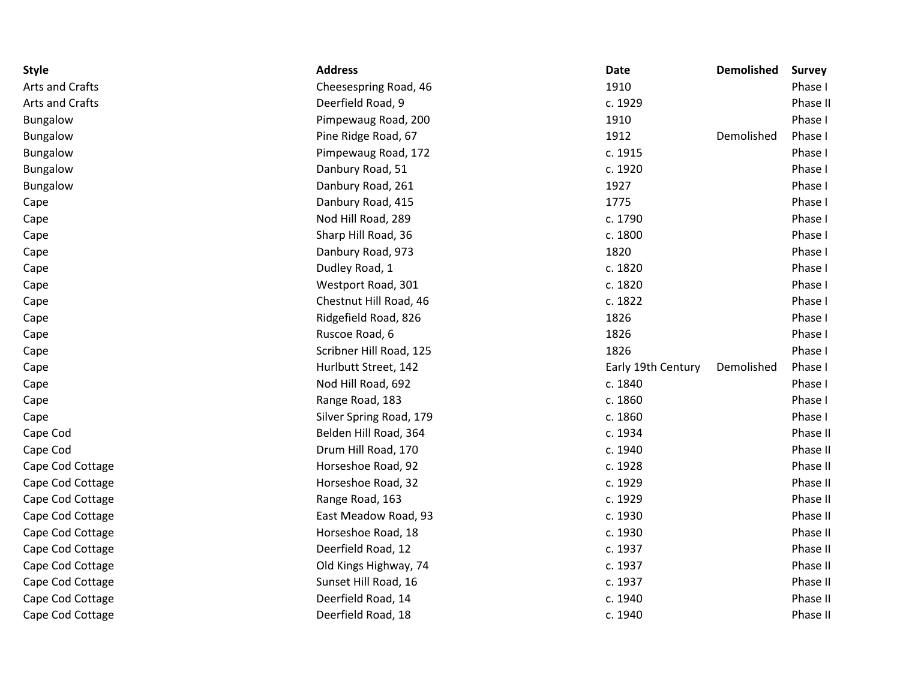| <b>Style</b>     | <b>Address</b>          | <b>Date</b>        | <b>Demolished</b> | <b>Survey</b> |
|------------------|-------------------------|--------------------|-------------------|---------------|
| Arts and Crafts  | Cheesespring Road, 46   | 1910               |                   | Phase I       |
| Arts and Crafts  | Deerfield Road, 9       | c. 1929            |                   | Phase II      |
| Bungalow         | Pimpewaug Road, 200     | 1910               |                   | Phase I       |
| <b>Bungalow</b>  | Pine Ridge Road, 67     | 1912               | Demolished        | Phase I       |
| <b>Bungalow</b>  | Pimpewaug Road, 172     | c. 1915            |                   | Phase I       |
| <b>Bungalow</b>  | Danbury Road, 51        | c. 1920            |                   | Phase I       |
| <b>Bungalow</b>  | Danbury Road, 261       | 1927               |                   | Phase I       |
| Cape             | Danbury Road, 415       | 1775               |                   | Phase I       |
| Cape             | Nod Hill Road, 289      | c. 1790            |                   | Phase I       |
| Cape             | Sharp Hill Road, 36     | c. 1800            |                   | Phase I       |
| Cape             | Danbury Road, 973       | 1820               |                   | Phase I       |
| Cape             | Dudley Road, 1          | c. 1820            |                   | Phase I       |
| Cape             | Westport Road, 301      | c. 1820            |                   | Phase I       |
| Cape             | Chestnut Hill Road, 46  | c. 1822            |                   | Phase I       |
| Cape             | Ridgefield Road, 826    | 1826               |                   | Phase I       |
| Cape             | Ruscoe Road, 6          | 1826               |                   | Phase I       |
| Cape             | Scribner Hill Road, 125 | 1826               |                   | Phase I       |
| Cape             | Hurlbutt Street, 142    | Early 19th Century | Demolished        | Phase I       |
| Cape             | Nod Hill Road, 692      | c. 1840            |                   | Phase I       |
| Cape             | Range Road, 183         | c. 1860            |                   | Phase I       |
| Cape             | Silver Spring Road, 179 | c. 1860            |                   | Phase I       |
| Cape Cod         | Belden Hill Road, 364   | c. 1934            |                   | Phase II      |
| Cape Cod         | Drum Hill Road, 170     | c. 1940            |                   | Phase II      |
| Cape Cod Cottage | Horseshoe Road, 92      | c. 1928            |                   | Phase II      |
| Cape Cod Cottage | Horseshoe Road, 32      | c. 1929            |                   | Phase II      |
| Cape Cod Cottage | Range Road, 163         | c. 1929            |                   | Phase II      |
| Cape Cod Cottage | East Meadow Road, 93    | c. 1930            |                   | Phase II      |
| Cape Cod Cottage | Horseshoe Road, 18      | c. 1930            |                   | Phase II      |
| Cape Cod Cottage | Deerfield Road, 12      | c. 1937            |                   | Phase II      |
| Cape Cod Cottage | Old Kings Highway, 74   | c. 1937            |                   | Phase II      |
| Cape Cod Cottage | Sunset Hill Road, 16    | c. 1937            |                   | Phase II      |
| Cape Cod Cottage | Deerfield Road, 14      | c. 1940            |                   | Phase II      |
| Cape Cod Cottage | Deerfield Road, 18      | c. 1940            |                   | Phase II      |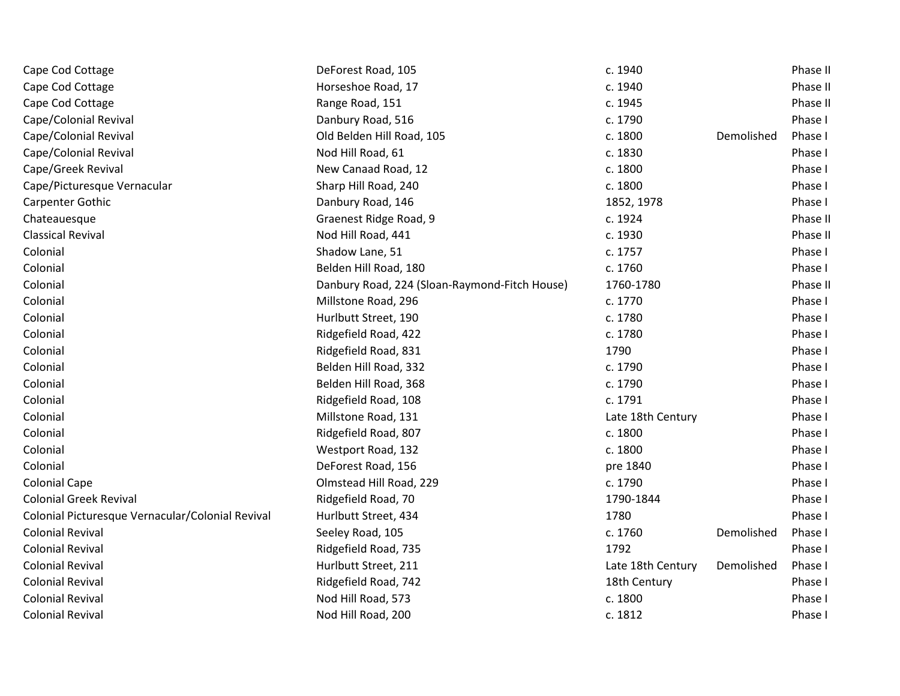| Cape Cod Cottage                                 | DeForest Road, 105                            | c. 1940           |            | Phase II |
|--------------------------------------------------|-----------------------------------------------|-------------------|------------|----------|
| Cape Cod Cottage                                 | Horseshoe Road, 17                            | c. 1940           |            | Phase II |
| Cape Cod Cottage                                 | Range Road, 151                               | c. 1945           |            | Phase II |
| Cape/Colonial Revival                            | Danbury Road, 516                             | c. 1790           |            | Phase I  |
| Cape/Colonial Revival                            | Old Belden Hill Road, 105                     | c. 1800           | Demolished | Phase I  |
| Cape/Colonial Revival                            | Nod Hill Road, 61                             | c. 1830           |            | Phase I  |
| Cape/Greek Revival                               | New Canaad Road, 12                           | c. 1800           |            | Phase I  |
| Cape/Picturesque Vernacular                      | Sharp Hill Road, 240                          | c. 1800           |            | Phase I  |
| Carpenter Gothic                                 | Danbury Road, 146                             | 1852, 1978        |            | Phase I  |
| Chateauesque                                     | Graenest Ridge Road, 9                        | c. 1924           |            | Phase II |
| <b>Classical Revival</b>                         | Nod Hill Road, 441                            | c. 1930           |            | Phase II |
| Colonial                                         | Shadow Lane, 51                               | c. 1757           |            | Phase I  |
| Colonial                                         | Belden Hill Road, 180                         | c. 1760           |            | Phase I  |
| Colonial                                         | Danbury Road, 224 (Sloan-Raymond-Fitch House) | 1760-1780         |            | Phase II |
| Colonial                                         | Millstone Road, 296                           | c. 1770           |            | Phase I  |
| Colonial                                         | Hurlbutt Street, 190                          | c. 1780           |            | Phase I  |
| Colonial                                         | Ridgefield Road, 422                          | c. 1780           |            | Phase I  |
| Colonial                                         | Ridgefield Road, 831                          | 1790              |            | Phase I  |
| Colonial                                         | Belden Hill Road, 332                         | c. 1790           |            | Phase I  |
| Colonial                                         | Belden Hill Road, 368                         | c. 1790           |            | Phase I  |
| Colonial                                         | Ridgefield Road, 108                          | c. 1791           |            | Phase I  |
| Colonial                                         | Millstone Road, 131                           | Late 18th Century |            | Phase I  |
| Colonial                                         | Ridgefield Road, 807                          | c. 1800           |            | Phase I  |
| Colonial                                         | Westport Road, 132                            | c. 1800           |            | Phase I  |
| Colonial                                         | DeForest Road, 156                            | pre 1840          |            | Phase I  |
| <b>Colonial Cape</b>                             | Olmstead Hill Road, 229                       | c. 1790           |            | Phase I  |
| <b>Colonial Greek Revival</b>                    | Ridgefield Road, 70                           | 1790-1844         |            | Phase I  |
| Colonial Picturesque Vernacular/Colonial Revival | Hurlbutt Street, 434                          | 1780              |            | Phase I  |
| <b>Colonial Revival</b>                          | Seeley Road, 105                              | c. 1760           | Demolished | Phase I  |
| <b>Colonial Revival</b>                          | Ridgefield Road, 735                          | 1792              |            | Phase I  |
| <b>Colonial Revival</b>                          | Hurlbutt Street, 211                          | Late 18th Century | Demolished | Phase I  |
| <b>Colonial Revival</b>                          | Ridgefield Road, 742                          | 18th Century      |            | Phase I  |
| <b>Colonial Revival</b>                          | Nod Hill Road, 573                            | c. 1800           |            | Phase I  |
| <b>Colonial Revival</b>                          | Nod Hill Road, 200                            | c. 1812           |            | Phase I  |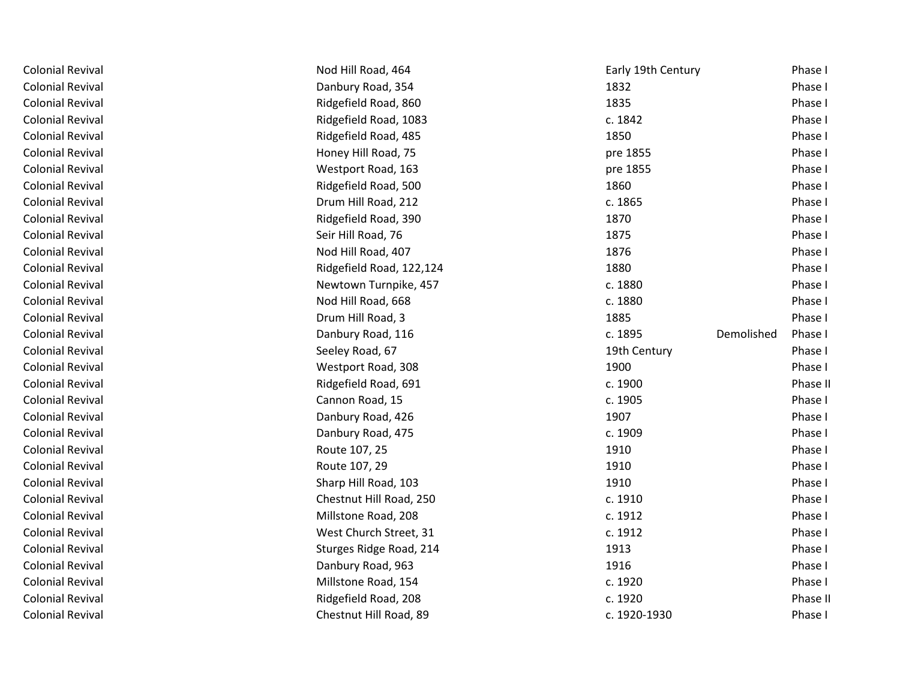| <b>Colonial Revival</b> | Nod Hill Road, 464       | Early 19th Century    | Phase I  |
|-------------------------|--------------------------|-----------------------|----------|
| <b>Colonial Revival</b> | Danbury Road, 354        | 1832                  | Phase I  |
| <b>Colonial Revival</b> | Ridgefield Road, 860     | 1835                  | Phase I  |
| <b>Colonial Revival</b> | Ridgefield Road, 1083    | c. 1842               | Phase I  |
| <b>Colonial Revival</b> | Ridgefield Road, 485     | 1850                  | Phase I  |
| <b>Colonial Revival</b> | Honey Hill Road, 75      | pre 1855              | Phase I  |
| <b>Colonial Revival</b> | Westport Road, 163       | pre 1855              | Phase I  |
| <b>Colonial Revival</b> | Ridgefield Road, 500     | 1860                  | Phase I  |
| <b>Colonial Revival</b> | Drum Hill Road, 212      | c. 1865               | Phase I  |
| <b>Colonial Revival</b> | Ridgefield Road, 390     | 1870                  | Phase I  |
| <b>Colonial Revival</b> | Seir Hill Road, 76       | 1875                  | Phase I  |
| <b>Colonial Revival</b> | Nod Hill Road, 407       | 1876                  | Phase I  |
| <b>Colonial Revival</b> | Ridgefield Road, 122,124 | 1880                  | Phase I  |
| <b>Colonial Revival</b> | Newtown Turnpike, 457    | c. 1880               | Phase I  |
| <b>Colonial Revival</b> | Nod Hill Road, 668       | c. 1880               | Phase I  |
| <b>Colonial Revival</b> | Drum Hill Road, 3        | 1885                  | Phase I  |
| <b>Colonial Revival</b> | Danbury Road, 116        | c. 1895<br>Demolished | Phase I  |
| <b>Colonial Revival</b> | Seeley Road, 67          | 19th Century          | Phase I  |
| <b>Colonial Revival</b> | Westport Road, 308       | 1900                  | Phase I  |
| <b>Colonial Revival</b> | Ridgefield Road, 691     | c. 1900               | Phase II |
| <b>Colonial Revival</b> | Cannon Road, 15          | c. 1905               | Phase I  |
| <b>Colonial Revival</b> | Danbury Road, 426        | 1907                  | Phase I  |
| <b>Colonial Revival</b> | Danbury Road, 475        | c. 1909               | Phase I  |
| <b>Colonial Revival</b> | Route 107, 25            | 1910                  | Phase I  |
| <b>Colonial Revival</b> | Route 107, 29            | 1910                  | Phase I  |
| <b>Colonial Revival</b> | Sharp Hill Road, 103     | 1910                  | Phase I  |
| <b>Colonial Revival</b> | Chestnut Hill Road, 250  | c. 1910               | Phase I  |
| <b>Colonial Revival</b> | Millstone Road, 208      | c. 1912               | Phase I  |
| <b>Colonial Revival</b> | West Church Street, 31   | c. 1912               | Phase I  |
| <b>Colonial Revival</b> | Sturges Ridge Road, 214  | 1913                  | Phase I  |
| <b>Colonial Revival</b> | Danbury Road, 963        | 1916                  | Phase I  |
| <b>Colonial Revival</b> | Millstone Road, 154      | c. 1920               | Phase I  |
| <b>Colonial Revival</b> | Ridgefield Road, 208     | c. 1920               | Phase II |
| <b>Colonial Revival</b> | Chestnut Hill Road, 89   | c. 1920-1930          | Phase I  |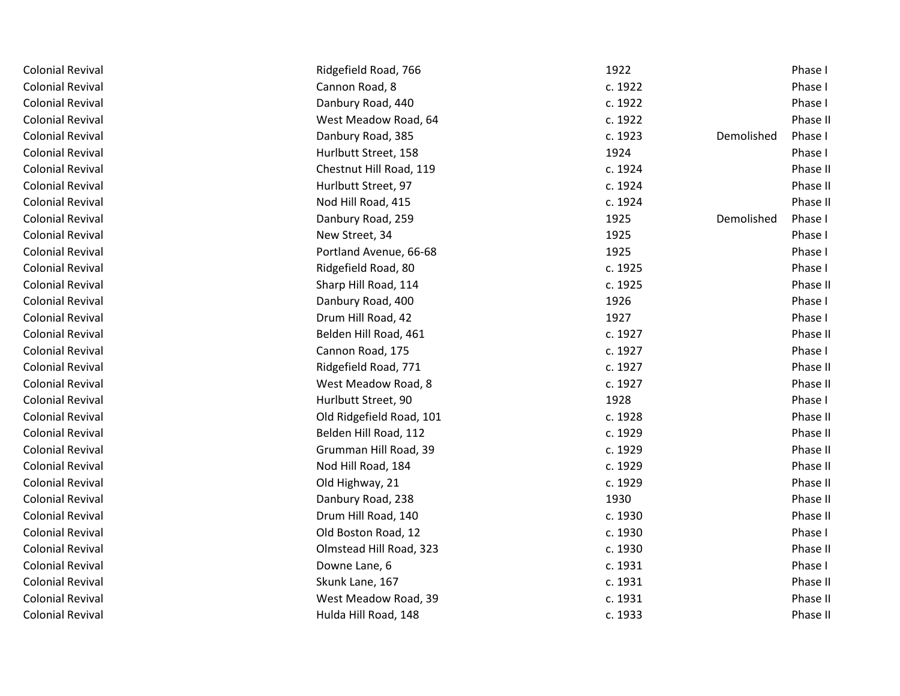| <b>Colonial Revival</b> | Ridgefield Road, 766     | 1922                  | Phase I  |
|-------------------------|--------------------------|-----------------------|----------|
| <b>Colonial Revival</b> | Cannon Road, 8           | c. 1922               | Phase I  |
| <b>Colonial Revival</b> | Danbury Road, 440        | c. 1922               | Phase I  |
| <b>Colonial Revival</b> | West Meadow Road, 64     | c. 1922               | Phase II |
| <b>Colonial Revival</b> | Danbury Road, 385        | c. 1923<br>Demolished | Phase I  |
| <b>Colonial Revival</b> | Hurlbutt Street, 158     | 1924                  | Phase I  |
| <b>Colonial Revival</b> | Chestnut Hill Road, 119  | c. 1924               | Phase II |
| <b>Colonial Revival</b> | Hurlbutt Street, 97      | c. 1924               | Phase II |
| <b>Colonial Revival</b> | Nod Hill Road, 415       | c. 1924               | Phase II |
| <b>Colonial Revival</b> | Danbury Road, 259        | 1925<br>Demolished    | Phase I  |
| <b>Colonial Revival</b> | New Street, 34           | 1925                  | Phase I  |
| <b>Colonial Revival</b> | Portland Avenue, 66-68   | 1925                  | Phase I  |
| <b>Colonial Revival</b> | Ridgefield Road, 80      | c. 1925               | Phase I  |
| <b>Colonial Revival</b> | Sharp Hill Road, 114     | c. 1925               | Phase II |
| <b>Colonial Revival</b> | Danbury Road, 400        | 1926                  | Phase I  |
| <b>Colonial Revival</b> | Drum Hill Road, 42       | 1927                  | Phase I  |
| <b>Colonial Revival</b> | Belden Hill Road, 461    | c. 1927               | Phase II |
| <b>Colonial Revival</b> | Cannon Road, 175         | c. 1927               | Phase I  |
| <b>Colonial Revival</b> | Ridgefield Road, 771     | c. 1927               | Phase II |
| <b>Colonial Revival</b> | West Meadow Road, 8      | c. 1927               | Phase II |
| <b>Colonial Revival</b> | Hurlbutt Street, 90      | 1928                  | Phase I  |
| <b>Colonial Revival</b> | Old Ridgefield Road, 101 | c. 1928               | Phase II |
| <b>Colonial Revival</b> | Belden Hill Road, 112    | c. 1929               | Phase II |
| <b>Colonial Revival</b> | Grumman Hill Road, 39    | c. 1929               | Phase II |
| <b>Colonial Revival</b> | Nod Hill Road, 184       | c. 1929               | Phase II |
| <b>Colonial Revival</b> | Old Highway, 21          | c. 1929               | Phase II |
| <b>Colonial Revival</b> | Danbury Road, 238        | 1930                  | Phase II |
| <b>Colonial Revival</b> | Drum Hill Road, 140      | c. 1930               | Phase II |
| <b>Colonial Revival</b> | Old Boston Road, 12      | c. 1930               | Phase I  |
| <b>Colonial Revival</b> | Olmstead Hill Road, 323  | c. 1930               | Phase II |
| <b>Colonial Revival</b> | Downe Lane, 6            | c. 1931               | Phase I  |
| <b>Colonial Revival</b> | Skunk Lane, 167          | c. 1931               | Phase II |
| <b>Colonial Revival</b> | West Meadow Road, 39     | c. 1931               | Phase II |
| <b>Colonial Revival</b> | Hulda Hill Road, 148     | c. 1933               | Phase II |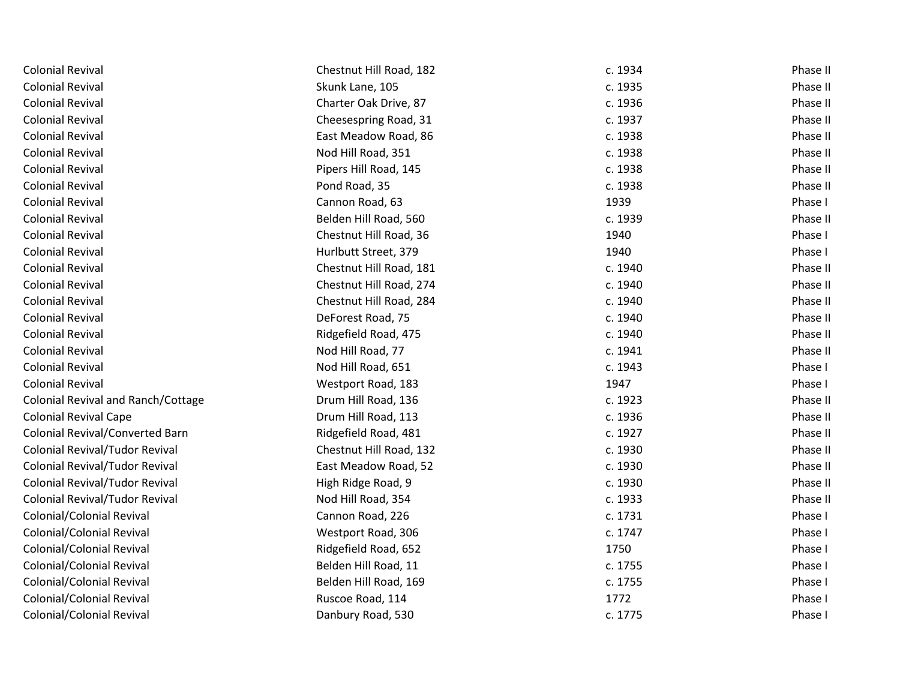| <b>Colonial Revival</b>                   | Chestnut Hill Road, 182 | c. 1934 | Phase II |
|-------------------------------------------|-------------------------|---------|----------|
| <b>Colonial Revival</b>                   | Skunk Lane, 105         | c. 1935 | Phase II |
| <b>Colonial Revival</b>                   | Charter Oak Drive, 87   | c. 1936 | Phase II |
| <b>Colonial Revival</b>                   | Cheesespring Road, 31   | c. 1937 | Phase II |
| <b>Colonial Revival</b>                   | East Meadow Road, 86    | c. 1938 | Phase II |
| <b>Colonial Revival</b>                   | Nod Hill Road, 351      | c. 1938 | Phase II |
| <b>Colonial Revival</b>                   | Pipers Hill Road, 145   | c. 1938 | Phase II |
| <b>Colonial Revival</b>                   | Pond Road, 35           | c. 1938 | Phase II |
| <b>Colonial Revival</b>                   | Cannon Road, 63         | 1939    | Phase I  |
| <b>Colonial Revival</b>                   | Belden Hill Road, 560   | c. 1939 | Phase II |
| <b>Colonial Revival</b>                   | Chestnut Hill Road, 36  | 1940    | Phase I  |
| <b>Colonial Revival</b>                   | Hurlbutt Street, 379    | 1940    | Phase I  |
| <b>Colonial Revival</b>                   | Chestnut Hill Road, 181 | c. 1940 | Phase II |
| <b>Colonial Revival</b>                   | Chestnut Hill Road, 274 | c. 1940 | Phase II |
| <b>Colonial Revival</b>                   | Chestnut Hill Road, 284 | c. 1940 | Phase II |
| <b>Colonial Revival</b>                   | DeForest Road, 75       | c. 1940 | Phase II |
| <b>Colonial Revival</b>                   | Ridgefield Road, 475    | c. 1940 | Phase II |
| <b>Colonial Revival</b>                   | Nod Hill Road, 77       | c. 1941 | Phase II |
| <b>Colonial Revival</b>                   | Nod Hill Road, 651      | c. 1943 | Phase I  |
| <b>Colonial Revival</b>                   | Westport Road, 183      | 1947    | Phase I  |
| <b>Colonial Revival and Ranch/Cottage</b> | Drum Hill Road, 136     | c. 1923 | Phase II |
| <b>Colonial Revival Cape</b>              | Drum Hill Road, 113     | c. 1936 | Phase II |
| <b>Colonial Revival/Converted Barn</b>    | Ridgefield Road, 481    | c. 1927 | Phase II |
| <b>Colonial Revival/Tudor Revival</b>     | Chestnut Hill Road, 132 | c. 1930 | Phase II |
| Colonial Revival/Tudor Revival            | East Meadow Road, 52    | c. 1930 | Phase II |
| <b>Colonial Revival/Tudor Revival</b>     | High Ridge Road, 9      | c. 1930 | Phase II |
| Colonial Revival/Tudor Revival            | Nod Hill Road, 354      | c. 1933 | Phase II |
| Colonial/Colonial Revival                 | Cannon Road, 226        | c. 1731 | Phase I  |
| Colonial/Colonial Revival                 | Westport Road, 306      | c. 1747 | Phase I  |
| Colonial/Colonial Revival                 | Ridgefield Road, 652    | 1750    | Phase I  |
| Colonial/Colonial Revival                 | Belden Hill Road, 11    | c. 1755 | Phase I  |
| Colonial/Colonial Revival                 | Belden Hill Road, 169   | c. 1755 | Phase I  |
| Colonial/Colonial Revival                 | Ruscoe Road, 114        | 1772    | Phase I  |
| <b>Colonial/Colonial Revival</b>          | Danbury Road, 530       | c. 1775 | Phase I  |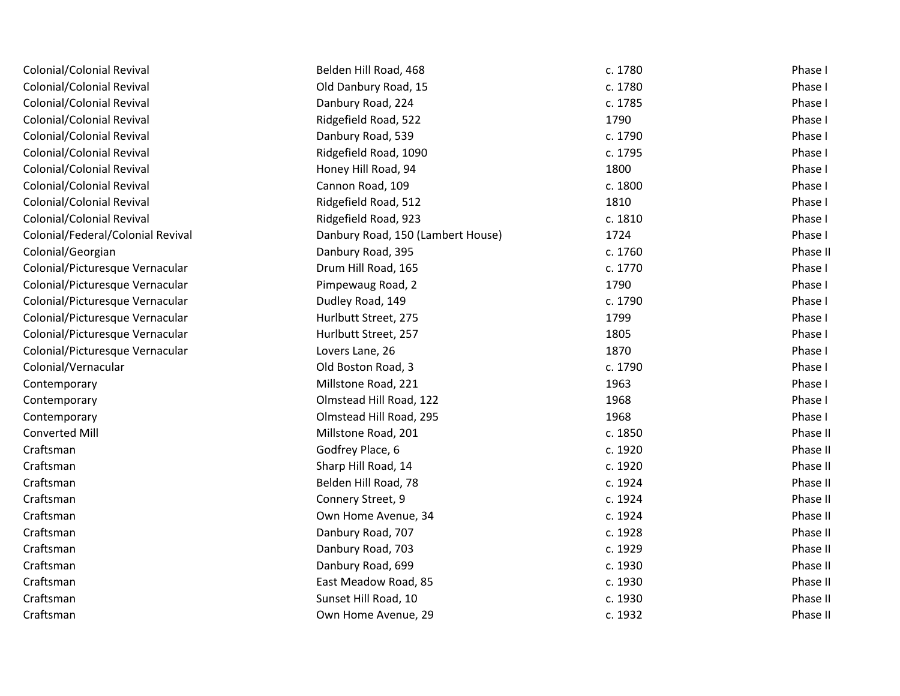| Colonial/Colonial Revival         | Belden Hill Road, 468             | c. 1780 | Phase I  |
|-----------------------------------|-----------------------------------|---------|----------|
| Colonial/Colonial Revival         | Old Danbury Road, 15              | c. 1780 | Phase I  |
| Colonial/Colonial Revival         | Danbury Road, 224                 | c. 1785 | Phase I  |
| Colonial/Colonial Revival         | Ridgefield Road, 522              | 1790    | Phase I  |
| Colonial/Colonial Revival         | Danbury Road, 539                 | c. 1790 | Phase I  |
| Colonial/Colonial Revival         | Ridgefield Road, 1090             | c. 1795 | Phase I  |
| <b>Colonial/Colonial Revival</b>  | Honey Hill Road, 94               | 1800    | Phase I  |
| Colonial/Colonial Revival         | Cannon Road, 109                  | c. 1800 | Phase I  |
| Colonial/Colonial Revival         | Ridgefield Road, 512              | 1810    | Phase I  |
| <b>Colonial/Colonial Revival</b>  | Ridgefield Road, 923              | c. 1810 | Phase I  |
| Colonial/Federal/Colonial Revival | Danbury Road, 150 (Lambert House) | 1724    | Phase I  |
| Colonial/Georgian                 | Danbury Road, 395                 | c. 1760 | Phase II |
| Colonial/Picturesque Vernacular   | Drum Hill Road, 165               | c. 1770 | Phase I  |
| Colonial/Picturesque Vernacular   | Pimpewaug Road, 2                 | 1790    | Phase I  |
| Colonial/Picturesque Vernacular   | Dudley Road, 149                  | c. 1790 | Phase I  |
| Colonial/Picturesque Vernacular   | Hurlbutt Street, 275              | 1799    | Phase I  |
| Colonial/Picturesque Vernacular   | Hurlbutt Street, 257              | 1805    | Phase I  |
| Colonial/Picturesque Vernacular   | Lovers Lane, 26                   | 1870    | Phase I  |
| Colonial/Vernacular               | Old Boston Road, 3                | c. 1790 | Phase I  |
| Contemporary                      | Millstone Road, 221               | 1963    | Phase I  |
| Contemporary                      | Olmstead Hill Road, 122           | 1968    | Phase I  |
| Contemporary                      | Olmstead Hill Road, 295           | 1968    | Phase I  |
| <b>Converted Mill</b>             | Millstone Road, 201               | c. 1850 | Phase II |
| Craftsman                         | Godfrey Place, 6                  | c. 1920 | Phase II |
| Craftsman                         | Sharp Hill Road, 14               | c. 1920 | Phase II |
| Craftsman                         | Belden Hill Road, 78              | c. 1924 | Phase II |
| Craftsman                         | Connery Street, 9                 | c. 1924 | Phase II |
| Craftsman                         | Own Home Avenue, 34               | c. 1924 | Phase II |
| Craftsman                         | Danbury Road, 707                 | c. 1928 | Phase II |
| Craftsman                         | Danbury Road, 703                 | c. 1929 | Phase II |
| Craftsman                         | Danbury Road, 699                 | c. 1930 | Phase II |
| Craftsman                         | East Meadow Road, 85              | c. 1930 | Phase II |
| Craftsman                         | Sunset Hill Road, 10              | c. 1930 | Phase II |
| Craftsman                         | Own Home Avenue, 29               | c. 1932 | Phase II |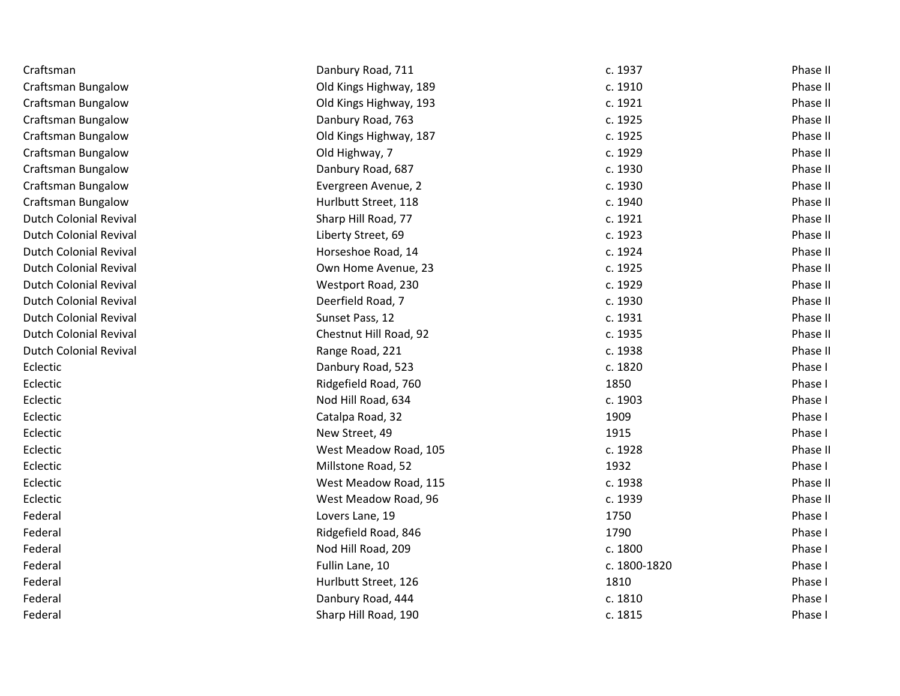| Craftsman                     | Danbury Road, 711      | c. 1937      | Phase II |
|-------------------------------|------------------------|--------------|----------|
| <b>Craftsman Bungalow</b>     | Old Kings Highway, 189 | c. 1910      | Phase II |
| <b>Craftsman Bungalow</b>     | Old Kings Highway, 193 | c. 1921      | Phase II |
| <b>Craftsman Bungalow</b>     | Danbury Road, 763      | c. 1925      | Phase II |
| Craftsman Bungalow            | Old Kings Highway, 187 | c. 1925      | Phase II |
| Craftsman Bungalow            | Old Highway, 7         | c. 1929      | Phase II |
| <b>Craftsman Bungalow</b>     | Danbury Road, 687      | c. 1930      | Phase II |
| <b>Craftsman Bungalow</b>     | Evergreen Avenue, 2    | c. 1930      | Phase II |
| <b>Craftsman Bungalow</b>     | Hurlbutt Street, 118   | c. 1940      | Phase II |
| <b>Dutch Colonial Revival</b> | Sharp Hill Road, 77    | c. 1921      | Phase II |
| <b>Dutch Colonial Revival</b> | Liberty Street, 69     | c. 1923      | Phase II |
| <b>Dutch Colonial Revival</b> | Horseshoe Road, 14     | c. 1924      | Phase II |
| <b>Dutch Colonial Revival</b> | Own Home Avenue, 23    | c. 1925      | Phase II |
| <b>Dutch Colonial Revival</b> | Westport Road, 230     | c. 1929      | Phase II |
| <b>Dutch Colonial Revival</b> | Deerfield Road, 7      | c. 1930      | Phase II |
| <b>Dutch Colonial Revival</b> | Sunset Pass, 12        | c. 1931      | Phase II |
| <b>Dutch Colonial Revival</b> | Chestnut Hill Road, 92 | c. 1935      | Phase II |
| <b>Dutch Colonial Revival</b> | Range Road, 221        | c. 1938      | Phase II |
| Eclectic                      | Danbury Road, 523      | c. 1820      | Phase I  |
| Eclectic                      | Ridgefield Road, 760   | 1850         | Phase I  |
| Eclectic                      | Nod Hill Road, 634     | c. 1903      | Phase I  |
| Eclectic                      | Catalpa Road, 32       | 1909         | Phase I  |
| Eclectic                      | New Street, 49         | 1915         | Phase I  |
| Eclectic                      | West Meadow Road, 105  | c. 1928      | Phase II |
| Eclectic                      | Millstone Road, 52     | 1932         | Phase I  |
| Eclectic                      | West Meadow Road, 115  | c. 1938      | Phase II |
| Eclectic                      | West Meadow Road, 96   | c. 1939      | Phase II |
| Federal                       | Lovers Lane, 19        | 1750         | Phase I  |
| Federal                       | Ridgefield Road, 846   | 1790         | Phase I  |
| Federal                       | Nod Hill Road, 209     | c. 1800      | Phase I  |
| Federal                       | Fullin Lane, 10        | c. 1800-1820 | Phase I  |
| Federal                       | Hurlbutt Street, 126   | 1810         | Phase I  |
| Federal                       | Danbury Road, 444      | c. 1810      | Phase I  |
| Federal                       | Sharp Hill Road, 190   | c. 1815      | Phase I  |
|                               |                        |              |          |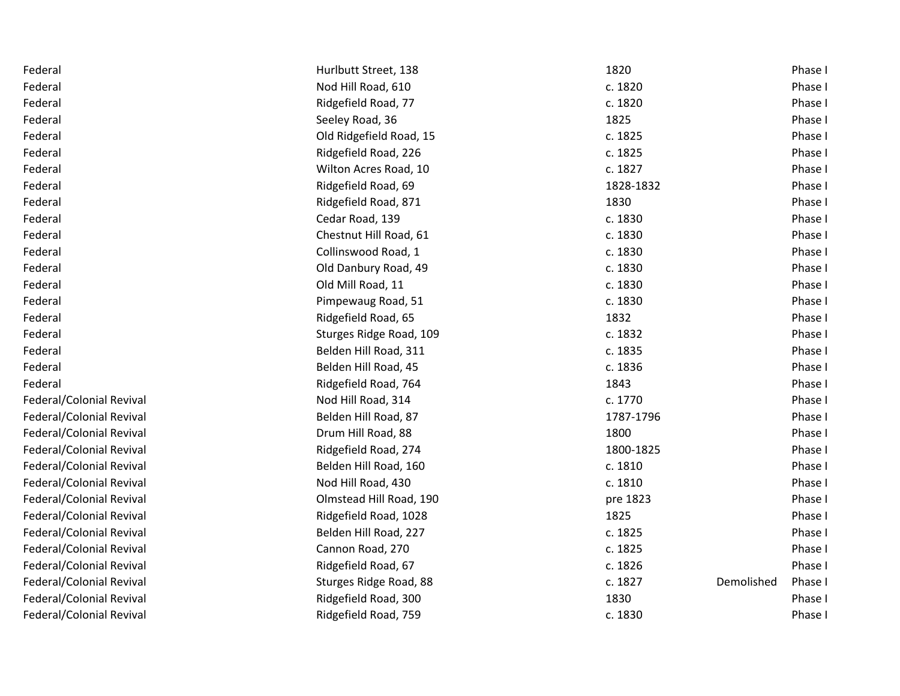| Federal                  | Hurlbutt Street, 138    | 1820      |            | Phase I |
|--------------------------|-------------------------|-----------|------------|---------|
| Federal                  | Nod Hill Road, 610      | c. 1820   |            | Phase I |
| Federal                  | Ridgefield Road, 77     | c. 1820   |            | Phase I |
| Federal                  | Seeley Road, 36         | 1825      |            | Phase I |
| Federal                  | Old Ridgefield Road, 15 | c. 1825   |            | Phase I |
| Federal                  | Ridgefield Road, 226    | c. 1825   |            | Phase I |
| Federal                  | Wilton Acres Road, 10   | c. 1827   |            | Phase I |
| Federal                  | Ridgefield Road, 69     | 1828-1832 |            | Phase I |
| Federal                  | Ridgefield Road, 871    | 1830      |            | Phase I |
| Federal                  | Cedar Road, 139         | c. 1830   |            | Phase I |
| Federal                  | Chestnut Hill Road, 61  | c. 1830   |            | Phase I |
| Federal                  | Collinswood Road, 1     | c. 1830   |            | Phase I |
| Federal                  | Old Danbury Road, 49    | c. 1830   |            | Phase I |
| Federal                  | Old Mill Road, 11       | c. 1830   |            | Phase I |
| Federal                  | Pimpewaug Road, 51      | c. 1830   |            | Phase I |
| Federal                  | Ridgefield Road, 65     | 1832      |            | Phase I |
| Federal                  | Sturges Ridge Road, 109 | c. 1832   |            | Phase I |
| Federal                  | Belden Hill Road, 311   | c. 1835   |            | Phase I |
| Federal                  | Belden Hill Road, 45    | c. 1836   |            | Phase I |
| Federal                  | Ridgefield Road, 764    | 1843      |            | Phase I |
| Federal/Colonial Revival | Nod Hill Road, 314      | c. 1770   |            | Phase I |
| Federal/Colonial Revival | Belden Hill Road, 87    | 1787-1796 |            | Phase I |
| Federal/Colonial Revival | Drum Hill Road, 88      | 1800      |            | Phase I |
| Federal/Colonial Revival | Ridgefield Road, 274    | 1800-1825 |            | Phase I |
| Federal/Colonial Revival | Belden Hill Road, 160   | c. 1810   |            | Phase I |
| Federal/Colonial Revival | Nod Hill Road, 430      | c. 1810   |            | Phase I |
| Federal/Colonial Revival | Olmstead Hill Road, 190 | pre 1823  |            | Phase I |
| Federal/Colonial Revival | Ridgefield Road, 1028   | 1825      |            | Phase I |
| Federal/Colonial Revival | Belden Hill Road, 227   | c. 1825   |            | Phase I |
| Federal/Colonial Revival | Cannon Road, 270        | c. 1825   |            | Phase I |
| Federal/Colonial Revival | Ridgefield Road, 67     | c. 1826   |            | Phase I |
| Federal/Colonial Revival | Sturges Ridge Road, 88  | c. 1827   | Demolished | Phase I |
| Federal/Colonial Revival | Ridgefield Road, 300    | 1830      |            | Phase I |
| Federal/Colonial Revival | Ridgefield Road, 759    | c. 1830   |            | Phase I |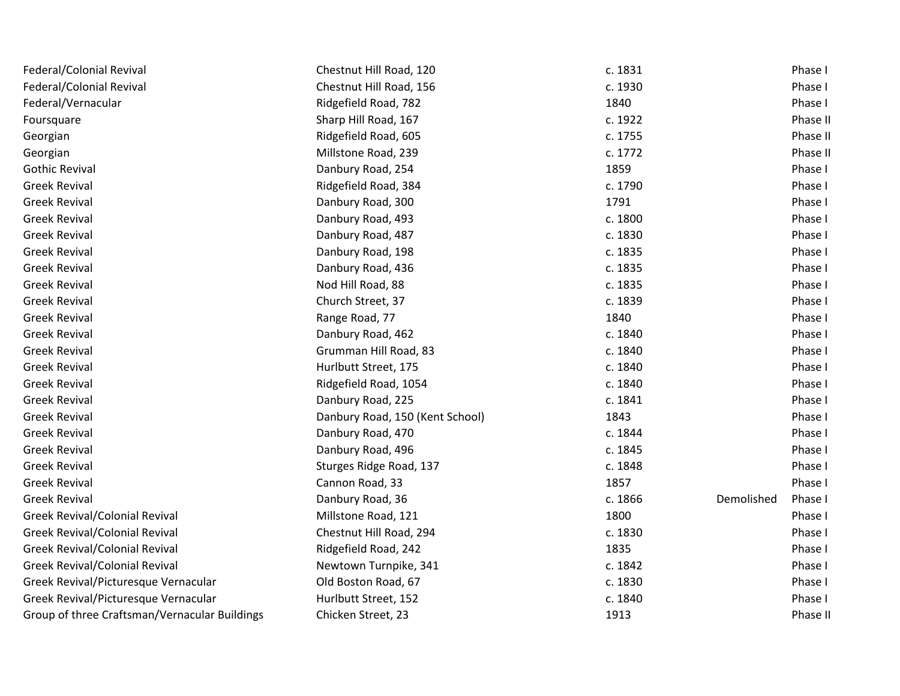| Federal/Colonial Revival                      | Chestnut Hill Road, 120         | c. 1831 |            | Phase I  |
|-----------------------------------------------|---------------------------------|---------|------------|----------|
| Federal/Colonial Revival                      | Chestnut Hill Road, 156         | c. 1930 |            | Phase I  |
| Federal/Vernacular                            | Ridgefield Road, 782            | 1840    |            | Phase I  |
| Foursquare                                    | Sharp Hill Road, 167            | c. 1922 |            | Phase II |
| Georgian                                      | Ridgefield Road, 605            | c. 1755 |            | Phase II |
| Georgian                                      | Millstone Road, 239             | c. 1772 |            | Phase II |
| <b>Gothic Revival</b>                         | Danbury Road, 254               | 1859    |            | Phase I  |
| <b>Greek Revival</b>                          | Ridgefield Road, 384            | c. 1790 |            | Phase I  |
| <b>Greek Revival</b>                          | Danbury Road, 300               | 1791    |            | Phase I  |
| <b>Greek Revival</b>                          | Danbury Road, 493               | c. 1800 |            | Phase I  |
| <b>Greek Revival</b>                          | Danbury Road, 487               | c. 1830 |            | Phase I  |
| <b>Greek Revival</b>                          | Danbury Road, 198               | c. 1835 |            | Phase I  |
| <b>Greek Revival</b>                          | Danbury Road, 436               | c. 1835 |            | Phase I  |
| <b>Greek Revival</b>                          | Nod Hill Road, 88               | c. 1835 |            | Phase I  |
| <b>Greek Revival</b>                          | Church Street, 37               | c. 1839 |            | Phase I  |
| <b>Greek Revival</b>                          | Range Road, 77                  | 1840    |            | Phase I  |
| <b>Greek Revival</b>                          | Danbury Road, 462               | c. 1840 |            | Phase I  |
| <b>Greek Revival</b>                          | Grumman Hill Road, 83           | c. 1840 |            | Phase I  |
| <b>Greek Revival</b>                          | Hurlbutt Street, 175            | c. 1840 |            | Phase I  |
| <b>Greek Revival</b>                          | Ridgefield Road, 1054           | c. 1840 |            | Phase I  |
| <b>Greek Revival</b>                          | Danbury Road, 225               | c. 1841 |            | Phase I  |
| <b>Greek Revival</b>                          | Danbury Road, 150 (Kent School) | 1843    |            | Phase I  |
| <b>Greek Revival</b>                          | Danbury Road, 470               | c. 1844 |            | Phase I  |
| <b>Greek Revival</b>                          | Danbury Road, 496               | c. 1845 |            | Phase I  |
| <b>Greek Revival</b>                          | Sturges Ridge Road, 137         | c. 1848 |            | Phase I  |
| <b>Greek Revival</b>                          | Cannon Road, 33                 | 1857    |            | Phase I  |
| <b>Greek Revival</b>                          | Danbury Road, 36                | c. 1866 | Demolished | Phase I  |
| Greek Revival/Colonial Revival                | Millstone Road, 121             | 1800    |            | Phase I  |
| Greek Revival/Colonial Revival                | Chestnut Hill Road, 294         | c. 1830 |            | Phase I  |
| Greek Revival/Colonial Revival                | Ridgefield Road, 242            | 1835    |            | Phase I  |
| Greek Revival/Colonial Revival                | Newtown Turnpike, 341           | c. 1842 |            | Phase I  |
| Greek Revival/Picturesque Vernacular          | Old Boston Road, 67             | c. 1830 |            | Phase I  |
| Greek Revival/Picturesque Vernacular          | Hurlbutt Street, 152            | c. 1840 |            | Phase I  |
| Group of three Craftsman/Vernacular Buildings | Chicken Street, 23              | 1913    |            | Phase II |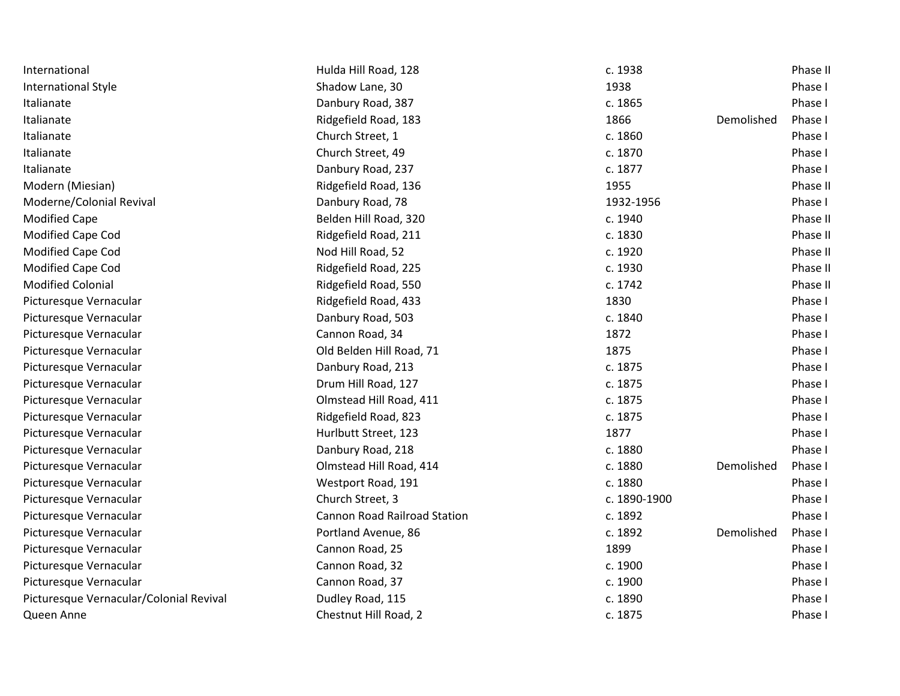| International                           | Hulda Hill Road, 128                | c. 1938      |            | Phase II |
|-----------------------------------------|-------------------------------------|--------------|------------|----------|
| <b>International Style</b>              | Shadow Lane, 30                     | 1938         |            | Phase I  |
| Italianate                              | Danbury Road, 387                   | c. 1865      |            | Phase I  |
| Italianate                              | Ridgefield Road, 183                | 1866         | Demolished | Phase I  |
| Italianate                              | Church Street, 1                    | c. 1860      |            | Phase I  |
| Italianate                              | Church Street, 49                   | c. 1870      |            | Phase I  |
| Italianate                              | Danbury Road, 237                   | c. 1877      |            | Phase I  |
| Modern (Miesian)                        | Ridgefield Road, 136                | 1955         |            | Phase II |
| Moderne/Colonial Revival                | Danbury Road, 78                    | 1932-1956    |            | Phase I  |
| <b>Modified Cape</b>                    | Belden Hill Road, 320               | c. 1940      |            | Phase II |
| Modified Cape Cod                       | Ridgefield Road, 211                | c. 1830      |            | Phase II |
| Modified Cape Cod                       | Nod Hill Road, 52                   | c. 1920      |            | Phase II |
| Modified Cape Cod                       | Ridgefield Road, 225                | c. 1930      |            | Phase II |
| <b>Modified Colonial</b>                | Ridgefield Road, 550                | c. 1742      |            | Phase II |
| Picturesque Vernacular                  | Ridgefield Road, 433                | 1830         |            | Phase I  |
| Picturesque Vernacular                  | Danbury Road, 503                   | c. 1840      |            | Phase I  |
| Picturesque Vernacular                  | Cannon Road, 34                     | 1872         |            | Phase I  |
| Picturesque Vernacular                  | Old Belden Hill Road, 71            | 1875         |            | Phase I  |
| Picturesque Vernacular                  | Danbury Road, 213                   | c. 1875      |            | Phase I  |
| Picturesque Vernacular                  | Drum Hill Road, 127                 | c. 1875      |            | Phase I  |
| Picturesque Vernacular                  | Olmstead Hill Road, 411             | c. 1875      |            | Phase I  |
| Picturesque Vernacular                  | Ridgefield Road, 823                | c. 1875      |            | Phase I  |
| Picturesque Vernacular                  | Hurlbutt Street, 123                | 1877         |            | Phase I  |
| Picturesque Vernacular                  | Danbury Road, 218                   | c. 1880      |            | Phase I  |
| Picturesque Vernacular                  | Olmstead Hill Road, 414             | c. 1880      | Demolished | Phase I  |
| Picturesque Vernacular                  | Westport Road, 191                  | c. 1880      |            | Phase I  |
| Picturesque Vernacular                  | Church Street, 3                    | c. 1890-1900 |            | Phase I  |
| Picturesque Vernacular                  | <b>Cannon Road Railroad Station</b> | c. 1892      |            | Phase I  |
| Picturesque Vernacular                  | Portland Avenue, 86                 | c. 1892      | Demolished | Phase I  |
| Picturesque Vernacular                  | Cannon Road, 25                     | 1899         |            | Phase I  |
| Picturesque Vernacular                  | Cannon Road, 32                     | c. 1900      |            | Phase I  |
| Picturesque Vernacular                  | Cannon Road, 37                     | c. 1900      |            | Phase I  |
| Picturesque Vernacular/Colonial Revival | Dudley Road, 115                    | c. 1890      |            | Phase I  |
| Queen Anne                              | Chestnut Hill Road, 2               | c. 1875      |            | Phase I  |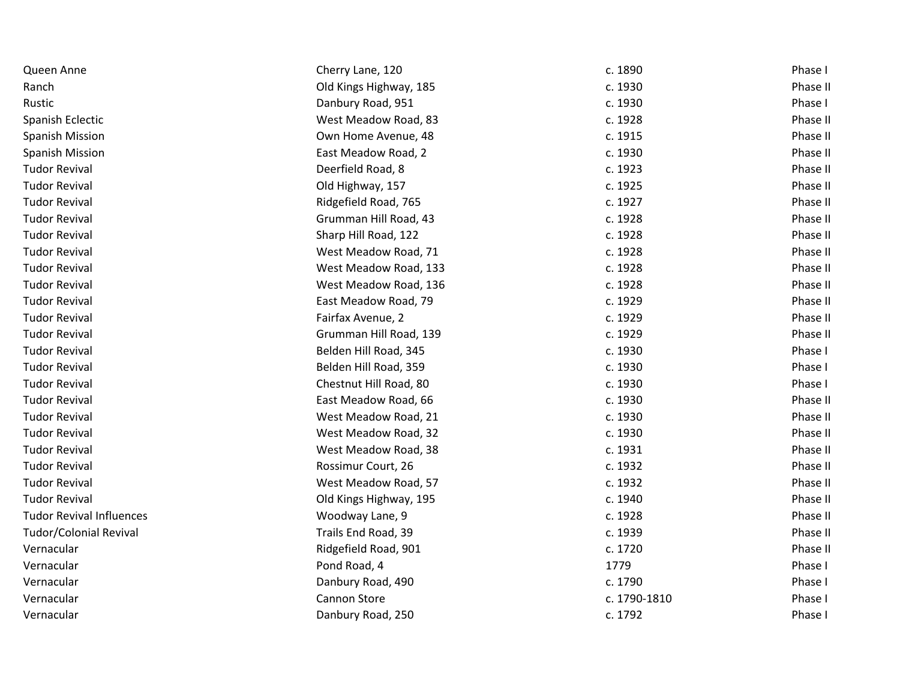| Queen Anne                      | Cherry Lane, 120       | c. 1890      | Phase I  |
|---------------------------------|------------------------|--------------|----------|
| Ranch                           | Old Kings Highway, 185 | c. 1930      | Phase II |
| Rustic                          | Danbury Road, 951      | c. 1930      | Phase I  |
| Spanish Eclectic                | West Meadow Road, 83   | c. 1928      | Phase II |
| <b>Spanish Mission</b>          | Own Home Avenue, 48    | c. 1915      | Phase II |
| <b>Spanish Mission</b>          | East Meadow Road, 2    | c. 1930      | Phase II |
| <b>Tudor Revival</b>            | Deerfield Road, 8      | c. 1923      | Phase II |
| <b>Tudor Revival</b>            | Old Highway, 157       | c. 1925      | Phase II |
| <b>Tudor Revival</b>            | Ridgefield Road, 765   | c. 1927      | Phase II |
| <b>Tudor Revival</b>            | Grumman Hill Road, 43  | c. 1928      | Phase II |
| <b>Tudor Revival</b>            | Sharp Hill Road, 122   | c. 1928      | Phase II |
| <b>Tudor Revival</b>            | West Meadow Road, 71   | c. 1928      | Phase II |
| <b>Tudor Revival</b>            | West Meadow Road, 133  | c. 1928      | Phase II |
| <b>Tudor Revival</b>            | West Meadow Road, 136  | c. 1928      | Phase II |
| <b>Tudor Revival</b>            | East Meadow Road, 79   | c. 1929      | Phase II |
| <b>Tudor Revival</b>            | Fairfax Avenue, 2      | c. 1929      | Phase II |
| <b>Tudor Revival</b>            | Grumman Hill Road, 139 | c. 1929      | Phase II |
| <b>Tudor Revival</b>            | Belden Hill Road, 345  | c. 1930      | Phase I  |
| <b>Tudor Revival</b>            | Belden Hill Road, 359  | c. 1930      | Phase I  |
| <b>Tudor Revival</b>            | Chestnut Hill Road, 80 | c. 1930      | Phase I  |
| <b>Tudor Revival</b>            | East Meadow Road, 66   | c. 1930      | Phase II |
| <b>Tudor Revival</b>            | West Meadow Road, 21   | c. 1930      | Phase II |
| <b>Tudor Revival</b>            | West Meadow Road, 32   | c. 1930      | Phase II |
| <b>Tudor Revival</b>            | West Meadow Road, 38   | c. 1931      | Phase II |
| <b>Tudor Revival</b>            | Rossimur Court, 26     | c. 1932      | Phase II |
| <b>Tudor Revival</b>            | West Meadow Road, 57   | c. 1932      | Phase II |
| <b>Tudor Revival</b>            | Old Kings Highway, 195 | c. 1940      | Phase II |
| <b>Tudor Revival Influences</b> | Woodway Lane, 9        | c. 1928      | Phase II |
| <b>Tudor/Colonial Revival</b>   | Trails End Road, 39    | c. 1939      | Phase II |
| Vernacular                      | Ridgefield Road, 901   | c. 1720      | Phase II |
| Vernacular                      | Pond Road, 4           | 1779         | Phase I  |
| Vernacular                      | Danbury Road, 490      | c. 1790      | Phase I  |
| Vernacular                      | <b>Cannon Store</b>    | c. 1790-1810 | Phase I  |
| Vernacular                      | Danbury Road, 250      | c. 1792      | Phase I  |
|                                 |                        |              |          |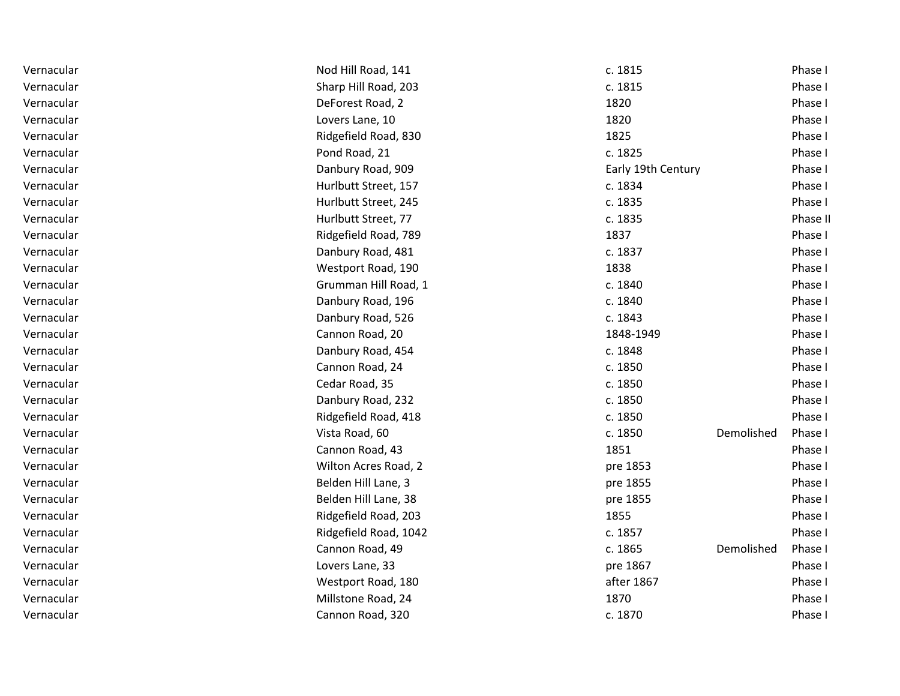| Vernacular | Nod Hill Road, 141    | c. 1815               | Phase I  |
|------------|-----------------------|-----------------------|----------|
| Vernacular | Sharp Hill Road, 203  | c. 1815               | Phase I  |
| Vernacular | DeForest Road, 2      | 1820                  | Phase I  |
| Vernacular | Lovers Lane, 10       | 1820                  | Phase I  |
| Vernacular | Ridgefield Road, 830  | 1825                  | Phase I  |
| Vernacular | Pond Road, 21         | c. 1825               | Phase I  |
| Vernacular | Danbury Road, 909     | Early 19th Century    | Phase I  |
| Vernacular | Hurlbutt Street, 157  | c. 1834               | Phase I  |
| Vernacular | Hurlbutt Street, 245  | c. 1835               | Phase I  |
| Vernacular | Hurlbutt Street, 77   | c. 1835               | Phase II |
| Vernacular | Ridgefield Road, 789  | 1837                  | Phase I  |
| Vernacular | Danbury Road, 481     | c. 1837               | Phase I  |
| Vernacular | Westport Road, 190    | 1838                  | Phase I  |
| Vernacular | Grumman Hill Road, 1  | c. 1840               | Phase I  |
| Vernacular | Danbury Road, 196     | c. 1840               | Phase I  |
| Vernacular | Danbury Road, 526     | c. 1843               | Phase I  |
| Vernacular | Cannon Road, 20       | 1848-1949             | Phase I  |
| Vernacular | Danbury Road, 454     | c. 1848               | Phase I  |
| Vernacular | Cannon Road, 24       | c. 1850               | Phase I  |
| Vernacular | Cedar Road, 35        | c. 1850               | Phase I  |
| Vernacular | Danbury Road, 232     | c. 1850               | Phase I  |
| Vernacular | Ridgefield Road, 418  | c. 1850               | Phase I  |
| Vernacular | Vista Road, 60        | c. 1850<br>Demolished | Phase I  |
| Vernacular | Cannon Road, 43       | 1851                  | Phase I  |
| Vernacular | Wilton Acres Road, 2  | pre 1853              | Phase I  |
| Vernacular | Belden Hill Lane, 3   | pre 1855              | Phase I  |
| Vernacular | Belden Hill Lane, 38  | pre 1855              | Phase I  |
| Vernacular | Ridgefield Road, 203  | 1855                  | Phase I  |
| Vernacular | Ridgefield Road, 1042 | c. 1857               | Phase I  |
| Vernacular | Cannon Road, 49       | c. 1865<br>Demolished | Phase I  |
| Vernacular | Lovers Lane, 33       | pre 1867              | Phase I  |
| Vernacular | Westport Road, 180    | after 1867            | Phase I  |
| Vernacular | Millstone Road, 24    | 1870                  | Phase I  |
| Vernacular | Cannon Road, 320      | c. 1870               | Phase I  |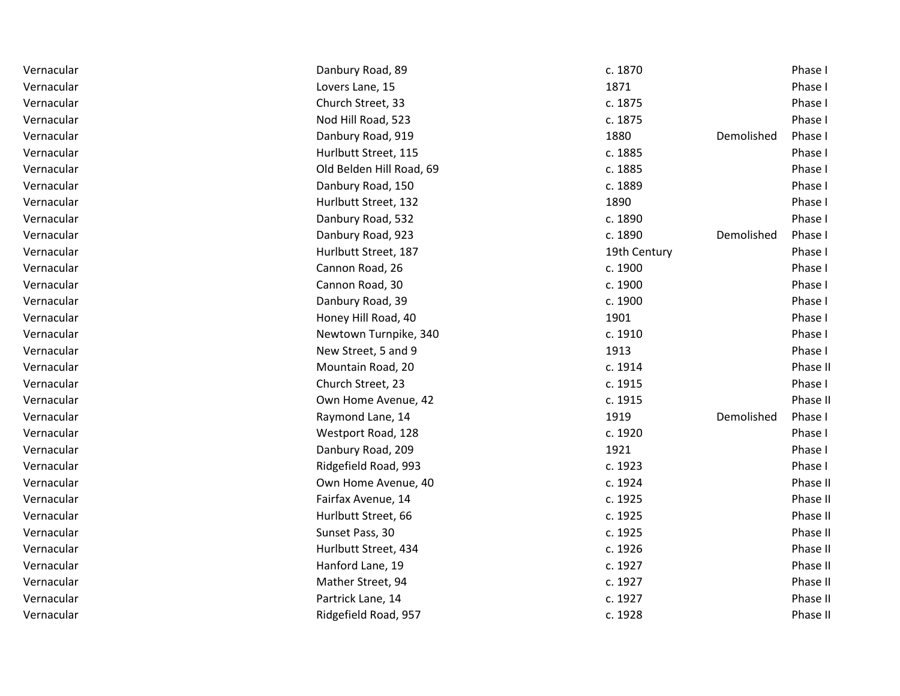| Vernacular | Danbury Road, 89         | c. 1870      |            | Phase I  |
|------------|--------------------------|--------------|------------|----------|
| Vernacular | Lovers Lane, 15          | 1871         |            | Phase I  |
| Vernacular | Church Street, 33        | c. 1875      |            | Phase I  |
| Vernacular | Nod Hill Road, 523       | c. 1875      |            | Phase I  |
| Vernacular | Danbury Road, 919        | 1880         | Demolished | Phase I  |
| Vernacular | Hurlbutt Street, 115     | c. 1885      |            | Phase I  |
| Vernacular | Old Belden Hill Road, 69 | c. 1885      |            | Phase I  |
| Vernacular | Danbury Road, 150        | c. 1889      |            | Phase I  |
| Vernacular | Hurlbutt Street, 132     | 1890         |            | Phase I  |
| Vernacular | Danbury Road, 532        | c. 1890      |            | Phase I  |
| Vernacular | Danbury Road, 923        | c. 1890      | Demolished | Phase I  |
| Vernacular | Hurlbutt Street, 187     | 19th Century |            | Phase I  |
| Vernacular | Cannon Road, 26          | c. 1900      |            | Phase I  |
| Vernacular | Cannon Road, 30          | c. 1900      |            | Phase I  |
| Vernacular | Danbury Road, 39         | c. 1900      |            | Phase I  |
| Vernacular | Honey Hill Road, 40      | 1901         |            | Phase I  |
| Vernacular | Newtown Turnpike, 340    | c. 1910      |            | Phase I  |
| Vernacular | New Street, 5 and 9      | 1913         |            | Phase I  |
| Vernacular | Mountain Road, 20        | c. 1914      |            | Phase II |
| Vernacular | Church Street, 23        | c. 1915      |            | Phase I  |
| Vernacular | Own Home Avenue, 42      | c. 1915      |            | Phase II |
| Vernacular | Raymond Lane, 14         | 1919         | Demolished | Phase I  |
| Vernacular | Westport Road, 128       | c. 1920      |            | Phase I  |
| Vernacular | Danbury Road, 209        | 1921         |            | Phase I  |
| Vernacular | Ridgefield Road, 993     | c. 1923      |            | Phase I  |
| Vernacular | Own Home Avenue, 40      | c. 1924      |            | Phase II |
| Vernacular | Fairfax Avenue, 14       | c. 1925      |            | Phase II |
| Vernacular | Hurlbutt Street, 66      | c. 1925      |            | Phase II |
| Vernacular | Sunset Pass, 30          | c. 1925      |            | Phase II |
| Vernacular | Hurlbutt Street, 434     | c. 1926      |            | Phase II |
| Vernacular | Hanford Lane, 19         | c. 1927      |            | Phase II |
| Vernacular | Mather Street, 94        | c. 1927      |            | Phase II |
| Vernacular | Partrick Lane, 14        | c. 1927      |            | Phase II |
| Vernacular | Ridgefield Road, 957     | c. 1928      |            | Phase II |